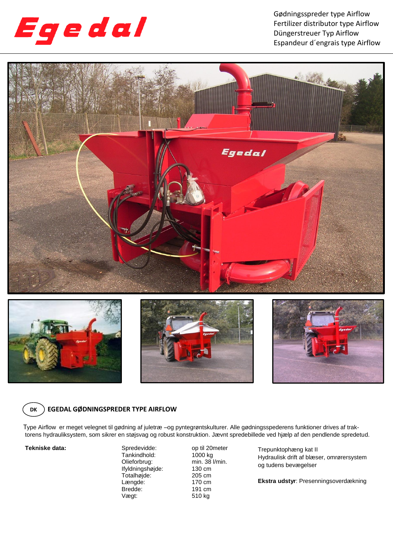

Gødningsspreder type Airflow Fertilizer distributor type Airflow Düngerstreuer Typ Airflow Espandeur d´engrais type Airflow









## **DK EGEDAL GØDNINGSPREDER TYPE AIRFLOW**

Type Airflow er meget velegnet til gødning af juletræ –og pyntegrøntskulturer. Alle gødningsspederens funktioner drives af traktorens hydrauliksystem, som sikrer en støjsvag og robust konstruktion. Jævnt spredebillede ved hjælp af den pendlende spredetud.

**Tekniske data:** Spredevidde: op til 20meter<br>Tankindhold: 1000 kg Tankindhold:<br>Olieforbrug: Ifyldningshøjde: 130 cm Totalhøjde: 205 cm<br>Lænade: 170 cm Længde: 170 cm<br>Bredde: 191 cm Bredde: Vægt: 510 kg

min.  $38$  l/min.<br>130 cm

Trepunktophæng kat II Hydraulisk drift af blæser, omrørersystem og tudens bevægelser

**Ekstra udstyr**: Presenningsoverdækning